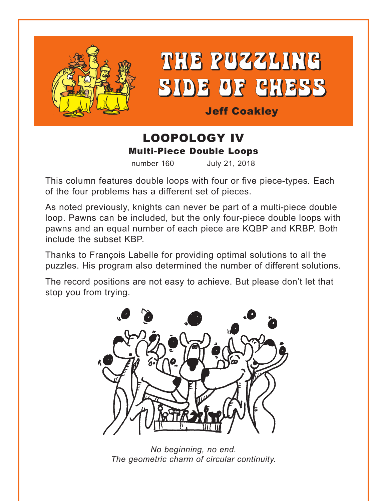



Jeff Coakley

## LOOPOLOGY IV Multi-Piece Double Loops

number 160 July 21, 2018

This column features double loops with four or five piece-types*.* Each of the four problems has a different set of pieces.

As noted previously, knights can never be part of a multi-piece double loop. Pawns can be included, but the only four-piece double loops with pawns and an equal number of each piece are KQBP and KRBP. Both include the subset KBP.

Thanks to François Labelle for providing optimal solutions to all the puzzles. His program also determined the number of different solutions.

The record positions are not easy to achieve. But please don't let that stop you from trying.



*No beginning, no end. The geometric charm of circular continuity.*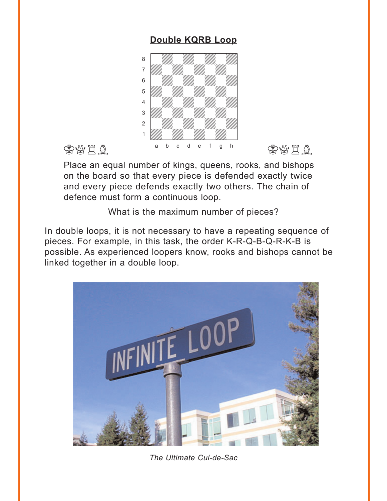### **Double KQRB Loop**

<span id="page-1-0"></span>

Place an equal number of kings, queens, rooks, and bishops on the board so that every piece is defended exactly twice and every piece defends exactly two others. The chain of defence must form a continuous loop.

What is the maximum number of pieces?

In double loops, it is not necessary to have a repeating sequence of pieces. For example, in this task, the order K-R-Q-B-Q-R-K-B is possible. As experienced loopers know, rooks and bishops cannot be linked together in a double loop.



*The Ultimate Cul-de-Sac*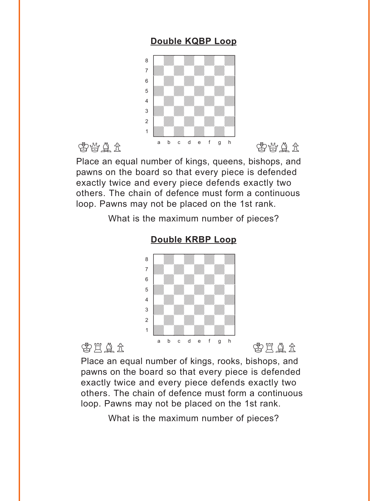### **Double KQBP Loop**

<span id="page-2-0"></span>

Place an equal number of kings, queens, bishops, and pawns on the board so that every piece is defended exactly twice and every piece defends exactly two others. The chain of defence must form a continuous loop. Pawns may not be placed on the 1st rank.

What is the maximum number of pieces?



### **[Double KRBP](#page-5-0) Loop**

Place an equal number of kings, rooks, bishops, and pawns on the board so that every piece is defended exactly twice and every piece defends exactly two others. The chain of defence must form a continuous loop. Pawns may not be placed on the 1st rank.

What is the maximum number of pieces?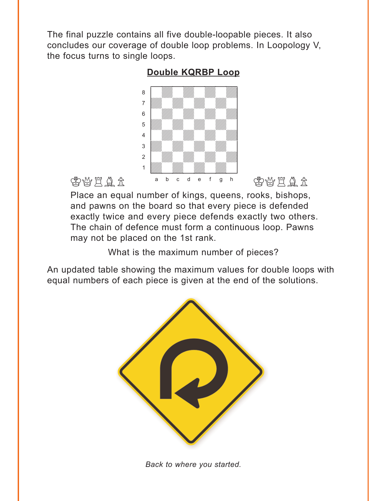<span id="page-3-0"></span>The final puzzle contains all five double-loopable pieces. It also concludes our coverage of double loop problems. In Loopology V, the focus turns to single loops.

### **Double KQRBP Loop**



Place an equal number of kings, queens, rooks, bishops, and pawns on the board so that every piece is defended exactly twice and every piece defends exactly two others. The chain of defence must form a continuous loop. Pawns may not be placed on the 1st rank.

What is the maximum number of pieces?

An updated table showing the maximum values for double loops with equal numbers of each piece is given at the end of the solutions.



*Back to where you started.*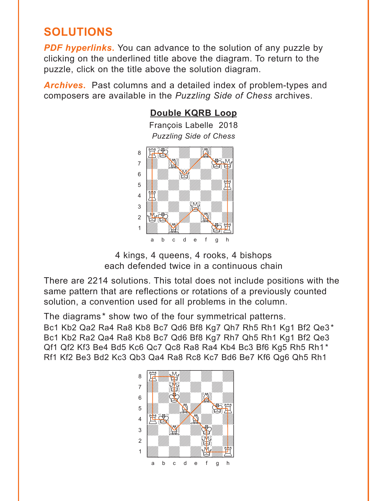# <span id="page-4-0"></span>**SOLUTIONS**

**PDF hyperlinks.** You can advance to the solution of any puzzle by clicking on the underlined title above the diagram. To return to the puzzle, click on the title above the solution diagram.

*Archives***.** Past columns and a detailed index of problem-types and composers are available in the *Puzzling Side of Chess* archives.



4 kings, 4 queens, 4 rooks, 4 bishops each defended twice in a continuous chain

There are 2214 solutions. This total does not include positions with the same pattern that are reflections or rotations of a previously counted solution, a convention used for all problems in the column.

The diagrams\* show two of the four symmetrical patterns.

Bc1 Kb2 Qa2 Ra4 Ra8 Kb8 Bc7 Qd6 Bf8 Kg7 Qh7 Rh5 Rh1 Kg1 Bf2 Qe3\* Bc1 Kb2 Ra2 Qa4 Ra8 Kb8 Bc7 Qd6 Bf8 Kg7 Rh7 Qh5 Rh1 Kg1 Bf2 Qe3 Qf1 Qf2 Kf3 Be4 Bd5 Kc6 Qc7 Qc8 Ra8 Ra4 Kb4 Bc3 Bf6 Kg5 Rh5 Rh1\* Rf1 Kf2 Be3 Bd2 Kc3 Qb3 Qa4 Ra8 Rc8 Kc7 Bd6 Be7 Kf6 Qg6 Qh5 Rh1

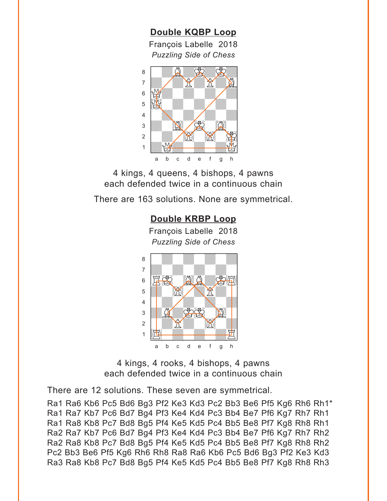<span id="page-5-0"></span>**[Double KQBP](#page-2-0) Loop** François Labelle 2018 *Puzzling Side of Chess* w\_\_\_\_\_\_\_\_w



4 kings, 4 queens, 4 bishops, 4 pawns each defended twice in a continuous chain

There are 163 solutions. None are symmetrical.

### **[Double KRBP](#page-2-0) Loop**

François Labelle 2018 *Puzzling Side of Chess* w\_\_\_\_\_\_\_\_w



4 kings, 4 rooks, 4 bishops, 4 pawns each defended twice in a continuous chain

There are 12 solutions. These seven are symmetrical.

Ra1 Ra6 Kb6 Pc5 Bd6 Bg3 Pf2 Ke3 Kd3 Pc2 Bb3 Be6 Pf5 Kg6 Rh6 Rh1\* Ra1 Ra7 Kb7 Pc6 Bd7 Bg4 Pf3 Ke4 Kd4 Pc3 Bb4 Be7 Pf6 Kg7 Rh7 Rh1 Ra1 Ra8 Kb8 Pc7 Bd8 Bg5 Pf4 Ke5 Kd5 Pc4 Bb5 Be8 Pf7 Kg8 Rh8 Rh1 Ra2 Ra7 Kb7 Pc6 Bd7 Bg4 Pf3 Ke4 Kd4 Pc3 Bb4 Be7 Pf6 Kg7 Rh7 Rh2 Ra2 Ra8 Kb8 Pc7 Bd8 Bg5 Pf4 Ke5 Kd5 Pc4 Bb5 Be8 Pf7 Kg8 Rh8 Rh2 Pc2 Bb3 Be6 Pf5 Kg6 Rh6 Rh8 Ra8 Ra6 Kb6 Pc5 Bd6 Bg3 Pf2 Ke3 Kd3 Ra3 Ra8 Kb8 Pc7 Bd8 Bg5 Pf4 Ke5 Kd5 Pc4 Bb5 Be8 Pf7 Kg8 Rh8 Rh3